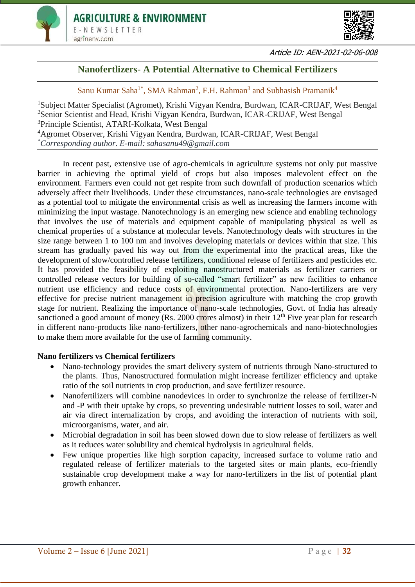



Article ID: AEN-2021-02-06-008

## **Nanofertlizers- A Potential Alternative to Chemical Fertilizers**

Sanu Kumar Saha<sup>1\*</sup>, SMA Rahman<sup>2</sup>, F.H. Rahman<sup>3</sup> and Subhasish Pramanik<sup>4</sup>

Subject Matter Specialist (Agromet), Krishi Vigyan Kendra, Burdwan, ICAR-CRIJAF, West Bengal Senior Scientist and Head, Krishi Vigyan Kendra, Burdwan, ICAR-CRIJAF, West Bengal Principle Scientist, ATARI-Kolkata, West Bengal Agromet Observer, Krishi Vigyan Kendra, Burdwan, ICAR-CRIJAF, West Bengal *\*Corresponding author. E-mail: sahasanu49@gmail.com*

In recent past, extensive use of agro-chemicals in agriculture systems not only put massive barrier in achieving the optimal yield of crops but also imposes malevolent effect on the environment. Farmers even could not get respite from such downfall of production scenarios which adversely affect their livelihoods. Under these circumstances, nano-scale technologies are envisaged as a potential tool to mitigate the environmental crisis as well as increasing the farmers income with minimizing the input wastage. Nanotechnology is an emerging new science and enabling technology that involves the use of materials and equipment capable of manipulating physical as well as chemical properties of a substance at molecular levels. Nanotechnology deals with structures in the size range between 1 to 100 nm and involves developing materials or devices within that size. This stream has gradually paved his way out from the experimental into the practical areas, like the development of slow/controlled release fertilizers, conditional release of fertilizers and pesticides etc. It has provided the feasibility of exploiting nanostructured materials as fertilizer carriers or controlled release vectors for building of so-called "smart fertilizer" as new facilities to enhance nutrient use efficiency and reduce costs of environmental protection. Nano-fertilizers are very effective for precise nutrient management in precision agriculture with matching the crop growth stage for nutrient. Realizing the importance of nano-scale technologies, Govt. of India has already sanctioned a good amount of money (Rs. 2000 crores almost) in their  $12<sup>th</sup>$  Five year plan for research in different nano-products like nano-fertilizers, other nano-agrochemicals and nano-biotechnologies to make them more available for the use of farming community.

## **Nano fertilizers vs Chemical fertilizers**

- Nano-technology provides the smart delivery system of nutrients through Nano-structured to the plants. Thus, Nanostructured formulation might increase fertilizer efficiency and uptake ratio of the soil nutrients in crop production, and save fertilizer resource.
- Nanofertilizers will combine nanodevices in order to synchronize the release of fertilizer-N and -P with their uptake by crops, so preventing undesirable nutrient losses to soil, water and air via direct internalization by crops, and avoiding the interaction of nutrients with soil, microorganisms, water, and air.
- Microbial degradation in soil has been slowed down due to slow release of fertilizers as well as it reduces water solubility and chemical hydrolysis in agricultural fields.
- Few unique properties like high sorption capacity, increased surface to volume ratio and regulated release of fertilizer materials to the targeted sites or main plants, eco-friendly sustainable crop development make a way for nano-fertilizers in the list of potential plant growth enhancer.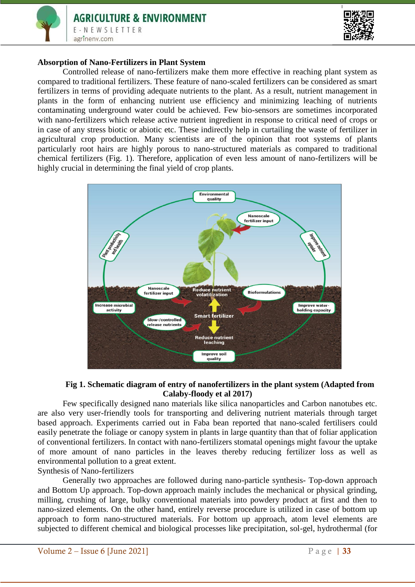



#### **Absorption of Nano-Fertilizers in Plant System**

Controlled release of nano-fertilizers make them more effective in reaching plant system as compared to traditional fertilizers. These feature of nano-scaled fertilizers can be considered as smart fertilizers in terms of providing adequate nutrients to the plant. As a result, nutrient management in plants in the form of enhancing nutrient use efficiency and minimizing leaching of nutrients contaminating underground water could be achieved. Few bio-sensors are sometimes incorporated with nano-fertilizers which release active nutrient ingredient in response to critical need of crops or in case of any stress biotic or abiotic etc. These indirectly help in curtailing the waste of fertilizer in agricultural crop production. Many scientists are of the opinion that root systems of plants particularly root hairs are highly porous to nano-structured materials as compared to traditional chemical fertilizers (Fig. 1). Therefore, application of even less amount of nano-fertilizers will be highly crucial in determining the final yield of crop plants.



#### **Fig 1. Schematic diagram of entry of nanofertilizers in the plant system (Adapted from Calaby-floody et al 2017)**

Few specifically designed nano materials like silica nanoparticles and Carbon nanotubes etc. are also very user-friendly tools for transporting and delivering nutrient materials through target based approach. Experiments carried out in Faba bean reported that nano-scaled fertilisers could easily penetrate the foliage or canopy system in plants in large quantity than that of foliar application of conventional fertilizers. In contact with nano-fertilizers stomatal openings might favour the uptake of more amount of nano particles in the leaves thereby reducing fertilizer loss as well as environmental pollution to a great extent.

Synthesis of Nano-fertilizers Generally two approaches are followed during nano-particle synthesis- Top-down approach and Bottom Up approach. Top-down approach mainly includes the mechanical or physical grinding, milling, crushing of large, bulky conventional materials into powdery product at first and then to nano-sized elements. On the other hand, entirely reverse procedure is utilized in case of bottom up approach to form nano-structured materials. For bottom up approach, atom level elements are subjected to different chemical and biological processes like precipitation, sol-gel, hydrothermal (for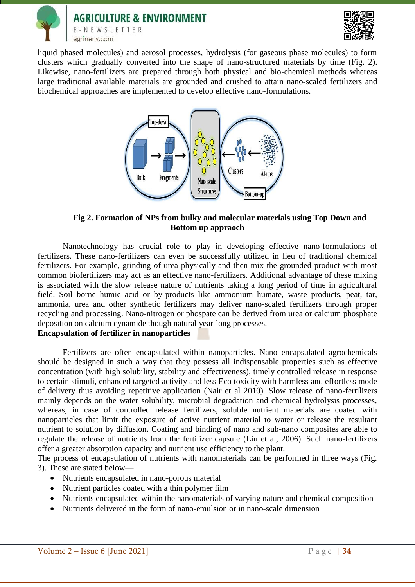



liquid phased molecules) and aerosol processes, hydrolysis (for gaseous phase molecules) to form clusters which gradually converted into the shape of nano-structured materials by time (Fig. 2). Likewise, nano-fertilizers are prepared through both physical and bio-chemical methods whereas large traditional available materials are grounded and crushed to attain nano-scaled fertilizers and biochemical approaches are implemented to develop effective nano-formulations.



### **Fig 2. Formation of NPs from bulky and molecular materials using Top Down and Bottom up appraoch**

Nanotechnology has crucial role to play in developing effective nano-formulations of fertilizers. These nano-fertilizers can even be successfully utilized in lieu of traditional chemical fertilizers. For example, grinding of urea physically and then mix the grounded product with most common biofertilizers may act as an effective nano-fertilizers. Additional advantage of these mixing is associated with the slow release nature of nutrients taking a long period of time in agricultural field. Soil borne humic acid or by-products like ammonium humate, waste products, peat, tar, ammonia, urea and other synthetic fertilizers may deliver nano-scaled fertilizers through proper recycling and processing. Nano-nitrogen or phospate can be derived from urea or calcium phosphate deposition on calcium cynamide though natural year-long processes.

# **Encapsulation of fertilizer in nanoparticles**

Fertilizers are often encapsulated within nanoparticles. Nano encapsulated agrochemicals should be designed in such a way that they possess all indispensable properties such as effective concentration (with high solubility, stability and effectiveness), timely controlled release in response to certain stimuli, enhanced targeted activity and less Eco toxicity with harmless and effortless mode of delivery thus avoiding repetitive application (Nair et al 2010). Slow release of nano-fertilizers mainly depends on the water solubility, microbial degradation and chemical hydrolysis processes, whereas, in case of controlled release fertilizers, soluble nutrient materials are coated with nanoparticles that limit the exposure of active nutrient material to water or release the resultant nutrient to solution by diffusion. Coating and binding of nano and sub-nano composites are able to regulate the release of nutrients from the fertilizer capsule (Liu et al, 2006). Such nano-fertilizers offer a greater absorption capacity and nutrient use efficiency to the plant.

The process of encapsulation of nutrients with nanomaterials can be performed in three ways (Fig. 3). These are stated below—

- Nutrients encapsulated in nano-porous material
- Nutrient particles coated with a thin polymer film
- Nutrients encapsulated within the nanomaterials of varying nature and chemical composition
- Nutrients delivered in the form of nano-emulsion or in nano-scale dimension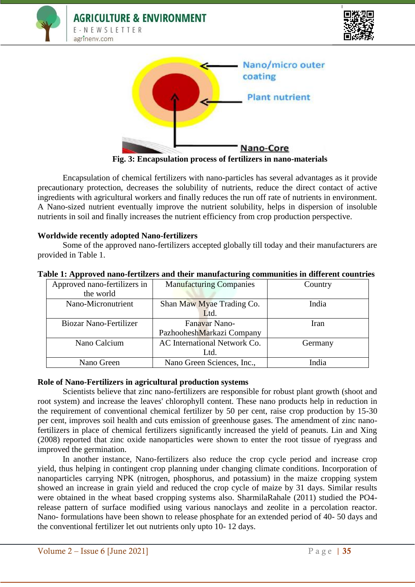





**Fig. 3: Encapsulation process of fertilizers in nano-materials**

Encapsulation of chemical fertilizers with nano-particles has several advantages as it provide precautionary protection, decreases the solubility of nutrients, reduce the direct contact of active ingredients with agricultural workers and finally reduces the run off rate of nutrients in environment. A Nano-sized nutrient eventually improve the nutrient solubility, helps in dispersion of insoluble nutrients in soil and finally increases the nutrient efficiency from crop production perspective.

## **Worldwide recently adopted Nano-fertilizers**

Some of the approved nano-fertilizers accepted globally till today and their manufacturers are provided in Table 1.

| Approved nano-fertilizers in | <b>Manufacturing Companies</b> | Country |
|------------------------------|--------------------------------|---------|
| the world                    |                                |         |
| Nano-Micronutrient           | Shan Maw Myae Trading Co.      | India   |
|                              | Ltd.                           |         |
| Biozar Nano-Fertilizer       | Fanavar Nano-                  | Iran    |
|                              | PazhooheshMarkazi Company      |         |
| Nano Calcium                 | AC International Network Co.   | Germany |
|                              | Ltd.                           |         |
| Nano Green                   | Nano Green Sciences, Inc.,     | India   |

#### **Table 1: Approved nano-fertilzers and their manufacturing communities in different countries**

#### **Role of Nano-Fertilizers in agricultural production systems**

Scientists believe that zinc nano-fertilizers are responsible for robust plant growth (shoot and root system) and increase the leaves' chlorophyll content. These nano products help in reduction in the requirement of conventional chemical fertilizer by 50 per cent, raise crop production by 15-30 per cent, improves soil health and cuts emission of greenhouse gases. The amendment of zinc nanofertilizers in place of chemical fertilizers significantly increased the yield of peanuts. Lin and Xing (2008) reported that zinc oxide nanoparticles were shown to enter the root tissue of ryegrass and improved the germination.

In another instance, Nano-fertilizers also reduce the crop cycle period and increase crop yield, thus helping in contingent crop planning under changing climate conditions. Incorporation of nanoparticles carrying NPK (nitrogen, phosphorus, and potassium) in the maize cropping system showed an increase in grain yield and reduced the crop cycle of maize by 31 days. Similar results were obtained in the wheat based cropping systems also. SharmilaRahale (2011) studied the PO4 release pattern of surface modified using various nanoclays and zeolite in a percolation reactor. Nano- formulations have been shown to release phosphate for an extended period of 40- 50 days and the conventional fertilizer let out nutrients only upto 10- 12 days.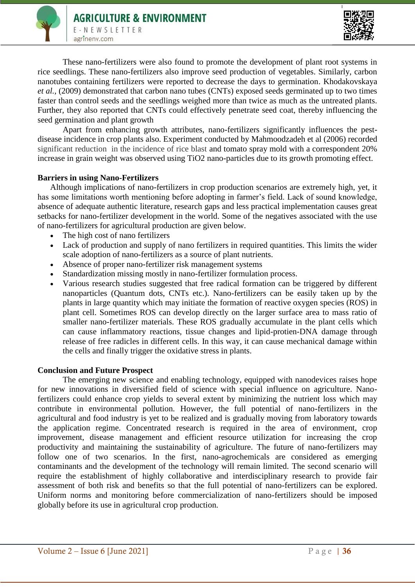

These nano-fertilizers were also found to promote the development of plant root systems in rice seedlings. These nano-fertilizers also improve seed production of vegetables. Similarly, carbon nanotubes containing fertilizers were reported to decrease the days to germination. Khodakovskaya *et al.,* (2009) demonstrated that carbon nano tubes (CNTs) exposed seeds germinated up to two times faster than control seeds and the seedlings weighed more than twice as much as the untreated plants. Further, they also reported that CNTs could effectively penetrate seed coat, thereby influencing the seed germination and plant growth

Apart from enhancing growth attributes, nano-fertilizers significantly influences the pestdisease incidence in crop plants also. Experiment conducted by Mahmoodzadeh et al (2006) recorded significant reduction in the incidence of rice blast and tomato spray mold with a correspondent 20% increase in grain weight was observed using TiO2 nano-particles due to its growth promoting effect.

## **Barriers in using Nano-Fertilizers**

Although implications of nano-fertilizers in crop production scenarios are extremely high, yet, it has some limitations worth mentioning before adopting in farmer's field. Lack of sound knowledge, absence of adequate authentic literature, research gaps and less practical implementation causes great setbacks for nano-fertilizer development in the world. Some of the negatives associated with the use of nano-fertilizers for agricultural production are given below.

- The high cost of nano fertilizers
- Lack of production and supply of nano fertilizers in required quantities. This limits the wider scale adoption of nano-fertilizers as a source of plant nutrients.
- Absence of proper nano-fertilizer risk management systems
- Standardization missing mostly in nano-fertilizer formulation process.
- Various research studies suggested that free radical formation can be triggered by different nanoparticles (Quantum dots, CNTs etc.). Nano-fertilizers can be easily taken up by the plants in large quantity which may initiate the formation of reactive oxygen species (ROS) in plant cell. Sometimes ROS can develop directly on the larger surface area to mass ratio of smaller nano-fertilizer materials. These ROS gradually accumulate in the plant cells which can cause inflammatory reactions, tissue changes and lipid-protien-DNA damage through release of free radicles in different cells. In this way, it can cause mechanical damage within the cells and finally trigger the oxidative stress in plants.

## **Conclusion and Future Prospect**

The emerging new science and enabling technology, equipped with nanodevices raises hope for new innovations in diversified field of science with special influence on agriculture. Nanofertilizers could enhance crop yields to several extent by minimizing the nutrient loss which may contribute in environmental pollution. However, the full potential of nano-fertilizers in the agricultural and food industry is yet to be realized and is gradually moving from laboratory towards the application regime. Concentrated research is required in the area of environment, crop improvement, disease management and efficient resource utilization for increasing the crop productivity and maintaining the sustainability of agriculture. The future of nano-fertilizers may follow one of two scenarios. In the first, nano-agrochemicals are considered as emerging contaminants and the development of the technology will remain limited. The second scenario will require the establishment of highly collaborative and interdisciplinary research to provide fair assessment of both risk and benefits so that the full potential of nano-fertilizers can be explored. Uniform norms and monitoring before commercialization of nano-fertilizers should be imposed globally before its use in agricultural crop production.